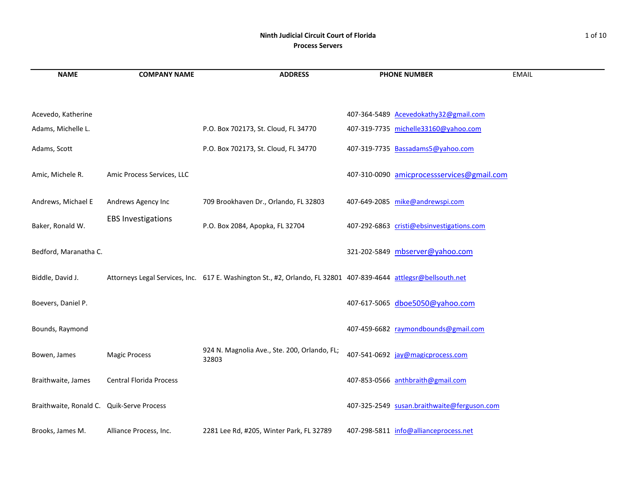#### **Ninth Judicial Circuit Court of Florida** 1 of 10 **Process Servers**

| <b>NAME</b>                               | <b>COMPANY NAME</b>            | <b>ADDRESS</b>                                                                                                  | <b>PHONE NUMBER</b>                         | <b>EMAIL</b> |
|-------------------------------------------|--------------------------------|-----------------------------------------------------------------------------------------------------------------|---------------------------------------------|--------------|
| Acevedo, Katherine                        |                                |                                                                                                                 | 407-364-5489 Acevedokathy32@gmail.com       |              |
| Adams, Michelle L.                        |                                | P.O. Box 702173, St. Cloud, FL 34770                                                                            | 407-319-7735 michelle33160@yahoo.com        |              |
| Adams, Scott                              |                                | P.O. Box 702173, St. Cloud, FL 34770                                                                            | 407-319-7735 Bassadams5@yahoo.com           |              |
| Amic, Michele R.                          | Amic Process Services, LLC     |                                                                                                                 | 407-310-0090 amicprocessservices@gmail.com  |              |
| Andrews, Michael E                        | Andrews Agency Inc             | 709 Brookhaven Dr., Orlando, FL 32803                                                                           | 407-649-2085 mike@andrewspi.com             |              |
| Baker, Ronald W.                          | <b>EBS Investigations</b>      | P.O. Box 2084, Apopka, FL 32704                                                                                 | 407-292-6863 cristi@ebsinvestigations.com   |              |
| Bedford, Maranatha C.                     |                                |                                                                                                                 | 321-202-5849 mbserver@yahoo.com             |              |
| Biddle, David J.                          |                                | Attorneys Legal Services, Inc. 617 E. Washington St., #2, Orlando, FL 32801 407-839-4644 attlegsr@bellsouth.net |                                             |              |
| Boevers, Daniel P.                        |                                |                                                                                                                 | 407-617-5065 dboe5050@yahoo.com             |              |
| Bounds, Raymond                           |                                |                                                                                                                 | 407-459-6682 raymondbounds@gmail.com        |              |
| Bowen, James                              | <b>Magic Process</b>           | 924 N. Magnolia Ave., Ste. 200, Orlando, FL;<br>32803                                                           | 407-541-0692 jay@magicprocess.com           |              |
| Braithwaite, James                        | <b>Central Florida Process</b> |                                                                                                                 | 407-853-0566 anthbraith@gmail.com           |              |
| Braithwaite, Ronald C. Quik-Serve Process |                                |                                                                                                                 | 407-325-2549 susan.braithwaite@ferguson.com |              |
| Brooks, James M.                          | Alliance Process, Inc.         | 2281 Lee Rd, #205, Winter Park, FL 32789                                                                        | 407-298-5811 info@allianceprocess.net       |              |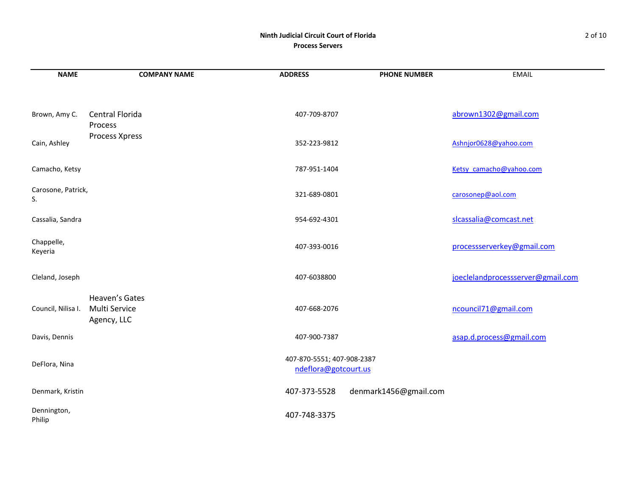# **Ninth Judicial Circuit Court of Florida** 2 of 10 **Process Servers**

| <b>NAME</b>              | <b>COMPANY NAME</b>                            | <b>ADDRESS</b>                                     | <b>PHONE NUMBER</b>   | <b>EMAIL</b>                      |
|--------------------------|------------------------------------------------|----------------------------------------------------|-----------------------|-----------------------------------|
|                          |                                                |                                                    |                       |                                   |
| Brown, Amy C.            | Central Florida<br>Process                     | 407-709-8707                                       |                       | abrown1302@gmail.com              |
| Cain, Ashley             | Process Xpress                                 | 352-223-9812                                       |                       | Ashnjor0628@yahoo.com             |
| Camacho, Ketsy           |                                                | 787-951-1404                                       |                       | Ketsy camacho@yahoo.com           |
| Carosone, Patrick,<br>S. |                                                | 321-689-0801                                       |                       | carosonep@aol.com                 |
| Cassalia, Sandra         |                                                | 954-692-4301                                       |                       | slcassalia@comcast.net            |
| Chappelle,<br>Keyeria    |                                                | 407-393-0016                                       |                       | processserverkey@gmail.com        |
| Cleland, Joseph          |                                                | 407-6038800                                        |                       | joeclelandprocessserver@gmail.com |
| Council, Nilisa I.       | Heaven's Gates<br>Multi Service<br>Agency, LLC | 407-668-2076                                       |                       | ncouncil71@gmail.com              |
| Davis, Dennis            |                                                | 407-900-7387                                       |                       | asap.d.process@gmail.com          |
| DeFlora, Nina            |                                                | 407-870-5551; 407-908-2387<br>ndeflora@gotcourt.us |                       |                                   |
| Denmark, Kristin         |                                                | 407-373-5528                                       | denmark1456@gmail.com |                                   |
| Dennington,<br>Philip    |                                                | 407-748-3375                                       |                       |                                   |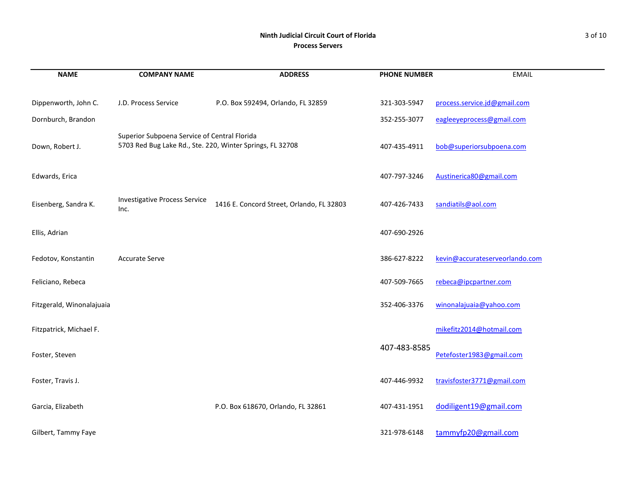## **Ninth Judicial Circuit Court of Florida** 3 of 10 **Process Servers**

| <b>NAME</b>               | <b>COMPANY NAME</b>                                                                                       | <b>ADDRESS</b>                            | <b>PHONE NUMBER</b> | <b>EMAIL</b>                   |
|---------------------------|-----------------------------------------------------------------------------------------------------------|-------------------------------------------|---------------------|--------------------------------|
| Dippenworth, John C.      | J.D. Process Service                                                                                      | P.O. Box 592494, Orlando, FL 32859        | 321-303-5947        | process.service.jd@gmail.com   |
| Dornburch, Brandon        |                                                                                                           |                                           | 352-255-3077        | eagleeyeprocess@gmail.com      |
| Down, Robert J.           | Superior Subpoena Service of Central Florida<br>5703 Red Bug Lake Rd., Ste. 220, Winter Springs, FL 32708 |                                           | 407-435-4911        | bob@superiorsubpoena.com       |
| Edwards, Erica            |                                                                                                           |                                           | 407-797-3246        | Austinerica80@gmail.com        |
| Eisenberg, Sandra K.      | <b>Investigative Process Service</b><br>Inc.                                                              | 1416 E. Concord Street, Orlando, FL 32803 | 407-426-7433        | sandiatils@aol.com             |
| Ellis, Adrian             |                                                                                                           |                                           | 407-690-2926        |                                |
| Fedotov, Konstantin       | <b>Accurate Serve</b>                                                                                     |                                           | 386-627-8222        | kevin@accurateserveorlando.com |
| Feliciano, Rebeca         |                                                                                                           |                                           | 407-509-7665        | rebeca@ipcpartner.com          |
| Fitzgerald, Winonalajuaia |                                                                                                           |                                           | 352-406-3376        | winonalajuaja@yahoo.com        |
| Fitzpatrick, Michael F.   |                                                                                                           |                                           |                     | mikefitz2014@hotmail.com       |
| Foster, Steven            |                                                                                                           |                                           | 407-483-8585        | Petefoster1983@gmail.com       |
| Foster, Travis J.         |                                                                                                           |                                           | 407-446-9932        | travisfoster3771@gmail.com     |
| Garcia, Elizabeth         |                                                                                                           | P.O. Box 618670, Orlando, FL 32861        | 407-431-1951        | dodiligent19@gmail.com         |
| Gilbert, Tammy Faye       |                                                                                                           |                                           | 321-978-6148        | tammyfp20@gmail.com            |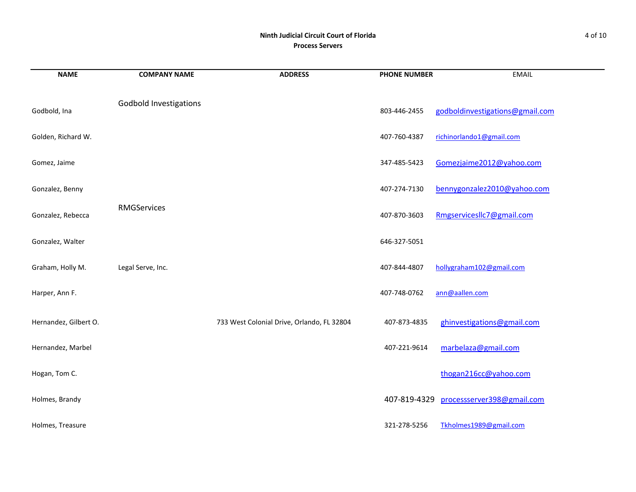# **Ninth Judicial Circuit Court of Florida** 4 of 10 **Process Servers**

| <b>NAME</b>           | <b>COMPANY NAME</b>           | <b>ADDRESS</b>                             | <b>PHONE NUMBER</b> | <b>EMAIL</b>                    |
|-----------------------|-------------------------------|--------------------------------------------|---------------------|---------------------------------|
| Godbold, Ina          | <b>Godbold Investigations</b> |                                            | 803-446-2455        | godboldinvestigations@gmail.com |
| Golden, Richard W.    |                               |                                            | 407-760-4387        | richinorlando1@gmail.com        |
| Gomez, Jaime          |                               |                                            | 347-485-5423        | Gomezjaime2012@yahoo.com        |
| Gonzalez, Benny       |                               |                                            | 407-274-7130        | bennygonzalez2010@yahoo.com     |
| Gonzalez, Rebecca     | RMGServices                   |                                            | 407-870-3603        | RmgservicesIlc7@gmail.com       |
| Gonzalez, Walter      |                               |                                            | 646-327-5051        |                                 |
| Graham, Holly M.      | Legal Serve, Inc.             |                                            | 407-844-4807        | hollygraham102@gmail.com        |
| Harper, Ann F.        |                               |                                            | 407-748-0762        | ann@aallen.com                  |
| Hernandez, Gilbert O. |                               | 733 West Colonial Drive, Orlando, FL 32804 | 407-873-4835        | ghinvestigations@gmail.com      |
| Hernandez, Marbel     |                               |                                            | 407-221-9614        | marbelaza@gmail.com             |
| Hogan, Tom C.         |                               |                                            |                     | thogan216cc@yahoo.com           |
| Holmes, Brandy        |                               |                                            | 407-819-4329        | processserver398@gmail.com      |
| Holmes, Treasure      |                               |                                            | 321-278-5256        | Tkholmes1989@gmail.com          |

and the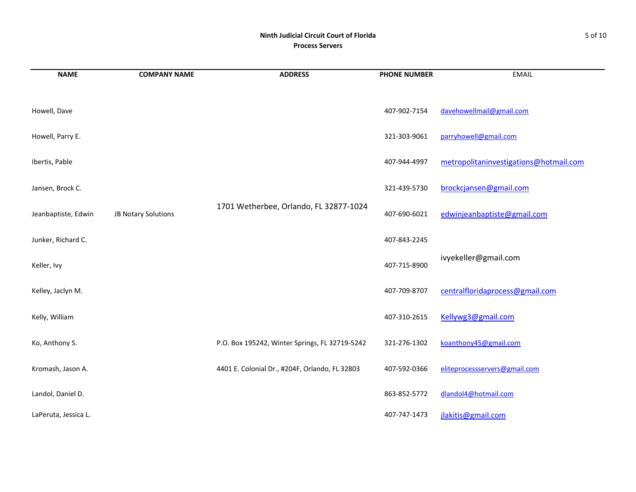## **Ninth Judicial Circuit Court of Florida** 5 of 10 **Process Servers**

| <b>NAME</b>          | <b>COMPANY NAME</b> | <b>ADDRESS</b>                                 | <b>PHONE NUMBER</b> | <b>EMAIL</b>                           |
|----------------------|---------------------|------------------------------------------------|---------------------|----------------------------------------|
|                      |                     |                                                |                     |                                        |
| Howell, Dave         |                     |                                                | 407-902-7154        | davehowellmail@gmail.com               |
| Howell, Parry E.     |                     |                                                | 321-303-9061        | parryhowell@gmail.com                  |
| Ibertis, Pable       |                     |                                                | 407-944-4997        | metropolitaninvestigations@hotmail.com |
| Jansen, Brock C.     |                     |                                                | 321-439-5730        | brockcjansen@gmail.com                 |
| Jeanbaptiste, Edwin  | JB Notary Solutions | 1701 Wetherbee, Orlando, FL 32877-1024         | 407-690-6021        | edwinjeanbaptiste@gmail.com            |
| Junker, Richard C.   |                     |                                                | 407-843-2245        |                                        |
| Keller, Ivy          |                     |                                                | 407-715-8900        | ivyekeller@gmail.com                   |
| Kelley, Jaclyn M.    |                     |                                                | 407-709-8707        | centralfloridaprocess@gmail.com        |
| Kelly, William       |                     |                                                | 407-310-2615        | Kellywg3@gmail.com                     |
| Ko, Anthony S.       |                     | P.O. Box 195242, Winter Springs, FL 32719-5242 | 321-276-1302        | koanthony45@gmail.com                  |
| Kromash, Jason A.    |                     | 4401 E. Colonial Dr., #204F, Orlando, FL 32803 | 407-592-0366        | eliteprocessservers@gmail.com          |
| Landol, Daniel D.    |                     |                                                | 863-852-5772        | dlandol4@hotmail.com                   |
| LaPeruta, Jessica L. |                     |                                                | 407-747-1473        | jlakitis@gmail.com                     |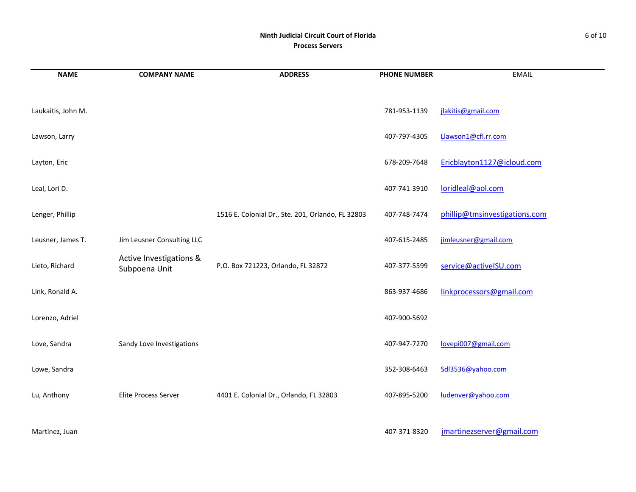## **Ninth Judicial Circuit Court of Florida** 6 of 10 **Process Servers**

| <b>NAME</b>        | <b>COMPANY NAME</b>                      | <b>ADDRESS</b>                                    | <b>PHONE NUMBER</b> | <b>EMAIL</b>                  |
|--------------------|------------------------------------------|---------------------------------------------------|---------------------|-------------------------------|
|                    |                                          |                                                   |                     |                               |
| Laukaitis, John M. |                                          |                                                   | 781-953-1139        | jlakitis@gmail.com            |
| Lawson, Larry      |                                          |                                                   | 407-797-4305        | Llawson1@cfl.rr.com           |
| Layton, Eric       |                                          |                                                   | 678-209-7648        | Ericblayton1127@icloud.com    |
| Leal, Lori D.      |                                          |                                                   | 407-741-3910        | loridleal@aol.com             |
| Lenger, Phillip    |                                          | 1516 E. Colonial Dr., Ste. 201, Orlando, FL 32803 | 407-748-7474        | phillip@tmsinvestigations.com |
| Leusner, James T.  | Jim Leusner Consulting LLC               |                                                   | 407-615-2485        | jimleusner@gmail.com          |
| Lieto, Richard     | Active Investigations &<br>Subpoena Unit | P.O. Box 721223, Orlando, FL 32872                | 407-377-5599        | service@activeISU.com         |
| Link, Ronald A.    |                                          |                                                   | 863-937-4686        | linkprocessors@gmail.com      |
| Lorenzo, Adriel    |                                          |                                                   | 407-900-5692        |                               |
| Love, Sandra       | Sandy Love Investigations                |                                                   | 407-947-7270        | lovepi007@gmail.com           |
| Lowe, Sandra       |                                          |                                                   | 352-308-6463        | Sdl3536@yahoo.com             |
| Lu, Anthony        | Elite Process Server                     | 4401 E. Colonial Dr., Orlando, FL 32803           | 407-895-5200        | ludenver@yahoo.com            |

Martinez, Juan 2007-371-8320 degree and the Martinezserver of the Martinezserver of the Martinezserver of the Martinezserver of the Martinezserver of the Martinezserver of the Martinezserver of the Martinezserver of the Ma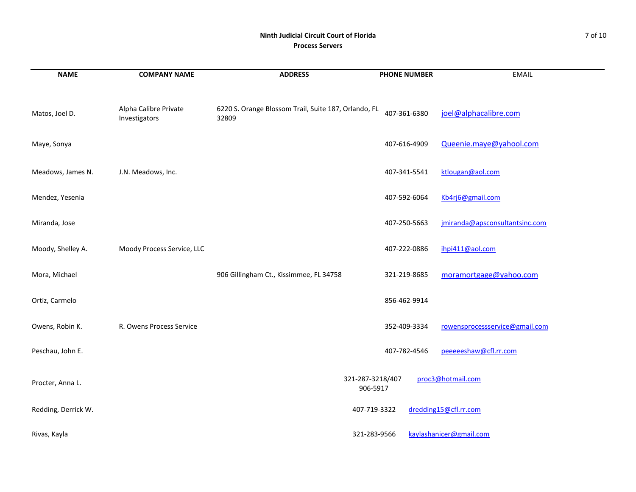#### **Ninth Judicial Circuit Court of Florida** 7 of 10 **Process Servers**

| <b>NAME</b>         | <b>COMPANY NAME</b>                    | <b>ADDRESS</b>                                                | <b>PHONE NUMBER</b>          | <b>EMAIL</b>                   |
|---------------------|----------------------------------------|---------------------------------------------------------------|------------------------------|--------------------------------|
| Matos, Joel D.      | Alpha Calibre Private<br>Investigators | 6220 S. Orange Blossom Trail, Suite 187, Orlando, FL<br>32809 | 407-361-6380                 | joel@alphacalibre.com          |
| Maye, Sonya         |                                        |                                                               | 407-616-4909                 | Queenie.maye@yahool.com        |
| Meadows, James N.   | J.N. Meadows, Inc.                     |                                                               | 407-341-5541                 | ktlougan@aol.com               |
| Mendez, Yesenia     |                                        |                                                               | 407-592-6064                 | Kb4rj6@gmail.com               |
| Miranda, Jose       |                                        |                                                               | 407-250-5663                 | jmiranda@apsconsultantsinc.com |
| Moody, Shelley A.   | Moody Process Service, LLC             |                                                               | 407-222-0886                 | ihpi411@aol.com                |
| Mora, Michael       |                                        | 906 Gillingham Ct., Kissimmee, FL 34758                       | 321-219-8685                 | moramortgage@yahoo.com         |
| Ortiz, Carmelo      |                                        |                                                               | 856-462-9914                 |                                |
| Owens, Robin K.     | R. Owens Process Service               |                                                               | 352-409-3334                 | rowensprocessservice@gmail.com |
| Peschau, John E.    |                                        |                                                               | 407-782-4546                 | peeeeeshaw@cfl.rr.com          |
| Procter, Anna L.    |                                        |                                                               | 321-287-3218/407<br>906-5917 | proc3@hotmail.com              |
| Redding, Derrick W. |                                        |                                                               | 407-719-3322                 | dredding15@cfl.rr.com          |
| Rivas, Kayla        |                                        |                                                               | 321-283-9566                 | kaylashanicer@gmail.com        |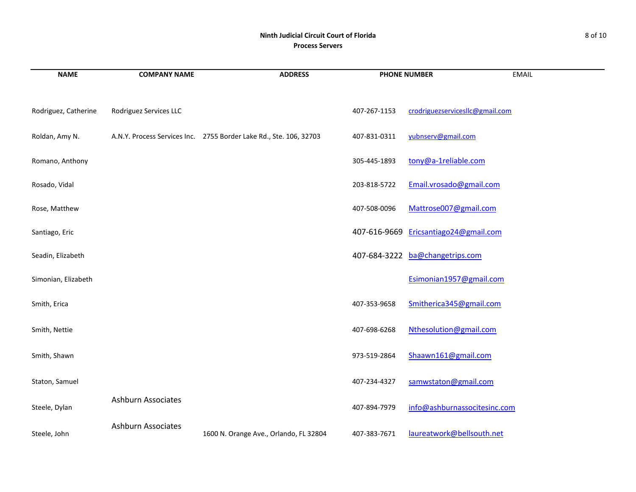## **Ninth Judicial Circuit Court of Florida** 8 of 10 **Process Servers**

| <b>NAME</b>          | <b>COMPANY NAME</b>       | <b>ADDRESS</b>                                                     | <b>PHONE NUMBER</b> |                                       | <b>EMAIL</b> |
|----------------------|---------------------------|--------------------------------------------------------------------|---------------------|---------------------------------------|--------------|
| Rodriguez, Catherine | Rodriguez Services LLC    |                                                                    | 407-267-1153        | crodriguezservicesllc@gmail.com       |              |
| Roldan, Amy N.       |                           | A.N.Y. Process Services Inc. 2755 Border Lake Rd., Ste. 106, 32703 | 407-831-0311        | yubnserv@gmail.com                    |              |
| Romano, Anthony      |                           |                                                                    | 305-445-1893        | tony@a-1reliable.com                  |              |
| Rosado, Vidal        |                           |                                                                    | 203-818-5722        | Email.vrosado@gmail.com               |              |
| Rose, Matthew        |                           |                                                                    | 407-508-0096        | Mattrose007@gmail.com                 |              |
| Santiago, Eric       |                           |                                                                    |                     | 407-616-9669 Ericsantiago24@gmail.com |              |
| Seadin, Elizabeth    |                           |                                                                    |                     | 407-684-3222 ba@changetrips.com       |              |
| Simonian, Elizabeth  |                           |                                                                    |                     | Esimonian1957@gmail.com               |              |
| Smith, Erica         |                           |                                                                    | 407-353-9658        | Smitherica345@gmail.com               |              |
| Smith, Nettie        |                           |                                                                    | 407-698-6268        | Nthesolution@gmail.com                |              |
| Smith, Shawn         |                           |                                                                    | 973-519-2864        | Shaawn161@gmail.com                   |              |
| Staton, Samuel       |                           |                                                                    | 407-234-4327        | samwstaton@gmail.com                  |              |
| Steele, Dylan        | <b>Ashburn Associates</b> |                                                                    | 407-894-7979        | info@ashburnassocitesinc.com          |              |
| Steele, John         | <b>Ashburn Associates</b> | 1600 N. Orange Ave., Orlando, FL 32804                             | 407-383-7671        | laureatwork@bellsouth.net             |              |

and the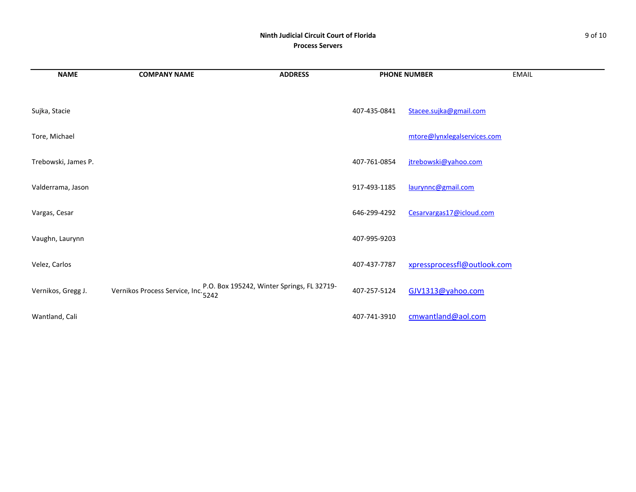# **Ninth Judicial Circuit Court of Florida** 9 of 10 **Process Servers**

| <b>NAME</b>         | <b>COMPANY NAME</b>                                                               | <b>ADDRESS</b> |              | <b>PHONE NUMBER</b>         | <b>EMAIL</b> |
|---------------------|-----------------------------------------------------------------------------------|----------------|--------------|-----------------------------|--------------|
|                     |                                                                                   |                |              |                             |              |
| Sujka, Stacie       |                                                                                   |                | 407-435-0841 | Stacee.sujka@gmail.com      |              |
| Tore, Michael       |                                                                                   |                |              | mtore@lynxlegalservices.com |              |
| Trebowski, James P. |                                                                                   |                | 407-761-0854 | jtrebowski@yahoo.com        |              |
| Valderrama, Jason   |                                                                                   |                | 917-493-1185 | laurynnc@gmail.com          |              |
| Vargas, Cesar       |                                                                                   |                | 646-299-4292 | Cesarvargas17@icloud.com    |              |
| Vaughn, Laurynn     |                                                                                   |                | 407-995-9203 |                             |              |
| Velez, Carlos       |                                                                                   |                | 407-437-7787 | xpressprocessfl@outlook.com |              |
| Vernikos, Gregg J.  | Vernikos Process Service, Inc. P.O. Box 195242, Winter Springs, FL 32719-<br>5242 |                | 407-257-5124 | GJV1313@yahoo.com           |              |
| Wantland, Cali      |                                                                                   |                | 407-741-3910 | cmwantland@aol.com          |              |